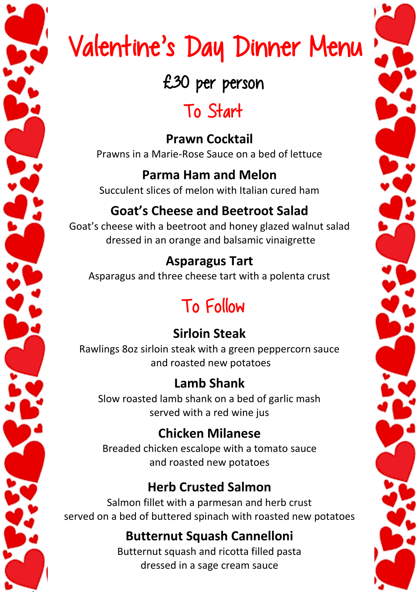# Valentine's Day Dinner Menu

### £30 per person

# To Start

**Prawn Cocktail** Prawns in a Marie-Rose Sauce on a bed of lettuce

#### **Parma Ham and Melon** Succulent slices of melon with Italian cured ham

### **Goat's Cheese and Beetroot Salad**

Goat's cheese with a beetroot and honey glazed walnut salad dressed in an orange and balsamic vinaigrette

### **Asparagus Tart**

Asparagus and three cheese tart with a polenta crust

# To Follow

### **Sirloin Steak**

Rawlings 8oz sirloin steak with a green peppercorn sauce and roasted new potatoes

#### **Lamb Shank**

Slow roasted lamb shank on a bed of garlic mash served with a red wine jus

#### **Chicken Milanese**

Breaded chicken escalope with a tomato sauce and roasted new potatoes

#### **Herb Crusted Salmon**

Salmon fillet with a parmesan and herb crust served on a bed of buttered spinach with roasted new potatoes

#### **Butternut Squash Cannelloni**

Butternut squash and ricotta filled pasta dressed in a sage cream sauce